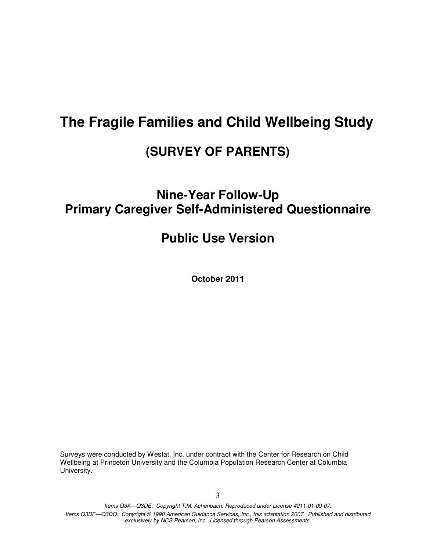## **The Fragile Families and Child Wellbeing Study**

## **(SURVEY OF PARENTS)**

## **Nine-Year Follow-Up Primary Caregiver Self-Administered Questionnaire**

## **Public Use Version**

**October 2011** 

Surveys were conducted by Westat, Inc. under contract with the Center for Research on Child Wellbeing at Princeton University and the Columbia Population Research Center at Columbia University.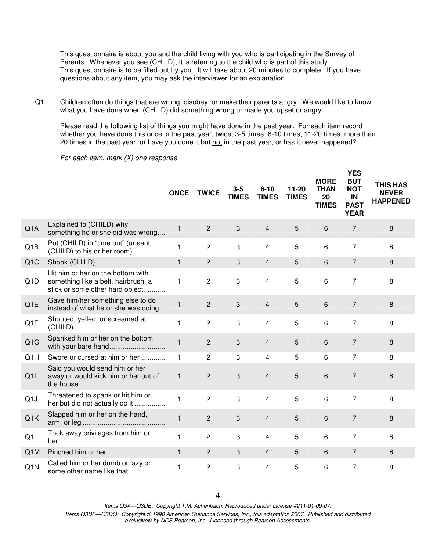This questionnaire is about you and the child living with you who is participating in the Survey of Parents. Whenever you see (CHILD), it is referring to the child who is part of this study. This questionnaire is to be filled out by you. It will take about 20 minutes to complete. If you have questions about any item, you may ask the interviewer for an explanation.

Q1. Children often do things that are wrong, disobey, or make their parents angry. We would like to know what you have done when (CHILD) did something wrong or made you upset or angry.

Please read the following list of things you might have done in the past year. For each item record whether you have done this once in the past year, twice, 3-5 times, 6-10 times, 11-20 times, more than 20 times in the past year, or have you done it but not in the past year, or has it never happened?

For each item, mark (X) one response

|                  |                                                                                                             | <b>ONCE</b>  | <b>TWICE</b>   | 3-5<br><b>TIMES</b> | $6 - 10$<br><b>TIMES</b> | $11 - 20$<br><b>TIMES</b> | <b>MORE</b><br><b>THAN</b><br>20<br><b>TIMES</b> | <b>YES</b><br><b>BUT</b><br><b>NOT</b><br>IN<br><b>PAST</b><br><b>YEAR</b> | <b>THIS HAS</b><br><b>NEVER</b><br><b>HAPPENED</b> |
|------------------|-------------------------------------------------------------------------------------------------------------|--------------|----------------|---------------------|--------------------------|---------------------------|--------------------------------------------------|----------------------------------------------------------------------------|----------------------------------------------------|
| Q <sub>1</sub> A | Explained to (CHILD) why<br>something he or she did was wrong                                               | 1            | $\overline{2}$ | 3                   | $\overline{4}$           | 5                         | $6\,$                                            | 7                                                                          | 8                                                  |
| Q1B              | Put (CHILD) in "time out" (or sent<br>(CHILD) to his or her room)                                           | 1            | $\overline{2}$ | 3                   | $\overline{4}$           | 5                         | 6                                                | $\overline{7}$                                                             | 8                                                  |
| Q <sub>1</sub> C |                                                                                                             | $\mathbf{1}$ | $\overline{2}$ | 3                   | $\overline{4}$           | 5                         | 6                                                | $\overline{7}$                                                             | 8                                                  |
| Q <sub>1</sub> D | Hit him or her on the bottom with<br>something like a belt, hairbrush, a<br>stick or some other hard object | 1            | 2              | 3                   | 4                        | 5                         | 6                                                | 7                                                                          | 8                                                  |
| Q <sub>1</sub> E | Gave him/her something else to do<br>instead of what he or she was doing                                    | $\mathbf{1}$ | $\overline{2}$ | 3                   | $\overline{4}$           | 5                         | 6                                                | $\overline{7}$                                                             | 8                                                  |
| Q1F              | Shouted, yelled, or screamed at                                                                             | 1            | $\overline{2}$ | 3                   | 4                        | 5                         | 6                                                | 7                                                                          | 8                                                  |
| Q1G              | Spanked him or her on the bottom<br>with your bare hand                                                     | $\mathbf{1}$ | $\overline{2}$ | 3                   | $\overline{4}$           | 5                         | 6                                                | $\overline{7}$                                                             | 8                                                  |
| Q1H              | Swore or cursed at him or her                                                                               | 1            | $\overline{2}$ | 3                   | $\overline{4}$           | 5                         | 6                                                | 7                                                                          | 8                                                  |
| Q11              | Said you would send him or her<br>away or would kick him or her out of                                      | $\mathbf{1}$ | $\overline{2}$ | 3                   | 4                        | 5                         | 6                                                | $\overline{7}$                                                             | 8                                                  |
| Q <sub>1</sub> J | Threatened to spank or hit him or<br>her but did not actually do it                                         | 1            | $\overline{2}$ | 3                   | $\overline{4}$           | 5                         | 6                                                | 7                                                                          | 8                                                  |
| Q1K              | Slapped him or her on the hand,                                                                             | $\mathbf{1}$ | $\overline{2}$ | 3                   | $\overline{4}$           | 5                         | 6                                                | $\overline{7}$                                                             | 8                                                  |
| Q <sub>1</sub> L | Took away privileges from him or                                                                            | 1            | $\overline{2}$ | 3                   | 4                        | 5                         | 6                                                | $\overline{7}$                                                             | 8                                                  |
| Q <sub>1</sub> M |                                                                                                             | $\mathbf{1}$ | 2              | 3                   | $\overline{4}$           | 5                         | 6                                                | 7                                                                          | 8                                                  |
| Q1N              | Called him or her dumb or lazy or<br>some other name like that                                              | 1            | 2              | 3                   | 4                        | 5                         | 6                                                | 7                                                                          | 8                                                  |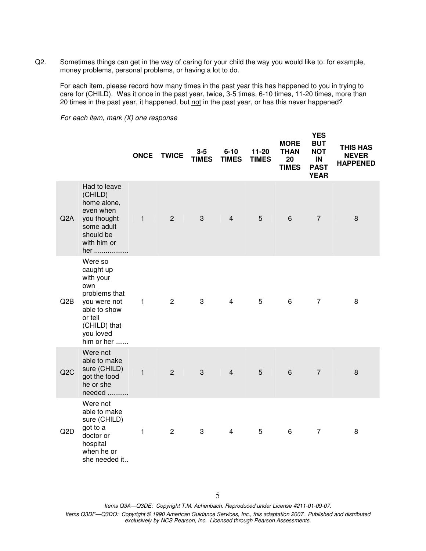Q2. Sometimes things can get in the way of caring for your child the way you would like to: for example, money problems, personal problems, or having a lot to do.

 For each item, please record how many times in the past year this has happened to you in trying to care for (CHILD). Was it once in the past year, twice, 3-5 times, 6-10 times, 11-20 times, more than 20 times in the past year, it happened, but not in the past year, or has this never happened?

For each item, mark (X) one response

|                  |                                                                                                                                                 | <b>ONCE</b>  | <b>TWICE</b>   | $3 - 5$<br><b>TIMES</b> | $6 - 10$<br><b>TIMES</b> | $11 - 20$<br><b>TIMES</b> | <b>MORE</b><br><b>THAN</b><br>20<br><b>TIMES</b> | <b>YES</b><br><b>BUT</b><br><b>NOT</b><br>IN<br><b>PAST</b><br><b>YEAR</b> | <b>THIS HAS</b><br><b>NEVER</b><br><b>HAPPENED</b> |
|------------------|-------------------------------------------------------------------------------------------------------------------------------------------------|--------------|----------------|-------------------------|--------------------------|---------------------------|--------------------------------------------------|----------------------------------------------------------------------------|----------------------------------------------------|
| Q <sub>2</sub> A | Had to leave<br>(CHILD)<br>home alone,<br>even when<br>you thought<br>some adult<br>should be<br>with him or<br>her                             | $\mathbf{1}$ | $\overline{2}$ | 3                       | $\overline{4}$           | $5\phantom{.0}$           | $\,6\,$                                          | $\overline{7}$                                                             | 8                                                  |
| Q2B              | Were so<br>caught up<br>with your<br>own<br>problems that<br>you were not<br>able to show<br>or tell<br>(CHILD) that<br>you loved<br>him or her | $\mathbf{1}$ | $\overline{2}$ | 3                       | $\overline{4}$           | 5                         | 6                                                | $\overline{7}$                                                             | 8                                                  |
| Q2C              | Were not<br>able to make<br>sure (CHILD)<br>got the food<br>he or she<br>needed                                                                 | $\mathbf{1}$ | $\overline{2}$ | $\mathfrak{S}$          | $\overline{4}$           | $\overline{5}$            | $6\,$                                            | $\overline{7}$                                                             | 8                                                  |
| Q <sub>2</sub> D | Were not<br>able to make<br>sure (CHILD)<br>got to a<br>doctor or<br>hospital<br>when he or<br>she needed it                                    | $\mathbf{1}$ | $\overline{2}$ | 3                       | $\overline{4}$           | 5                         | $\,6\,$                                          | $\overline{7}$                                                             | 8                                                  |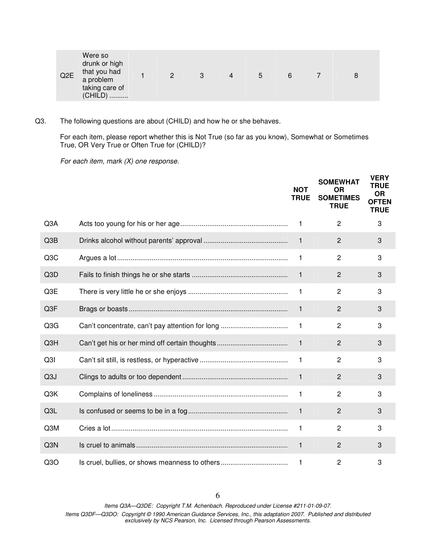| Q <sub>2</sub> E | Were so<br>drunk or high<br>that you had<br>a problem<br>taking care of<br>(CHILD) |  | $\mathcal{D}$ | 3 | 4 | b | 6 |  | 8 |
|------------------|------------------------------------------------------------------------------------|--|---------------|---|---|---|---|--|---|
|------------------|------------------------------------------------------------------------------------|--|---------------|---|---|---|---|--|---|

Q3. The following questions are about (CHILD) and how he or she behaves.

For each item, please report whether this is Not True (so far as you know), Somewhat or Sometimes True, OR Very True or Often True for (CHILD)?

For each item, mark (X) one response.

|                  |                                                 | <b>NOT</b><br><b>TRUE</b> | <b>SOMEWHAT</b><br><b>OR</b><br><b>SOMETIMES</b><br><b>TRUE</b> | <b>VERY</b><br><b>TRUE</b><br><b>OR</b><br><b>OFTEN</b><br><b>TRUE</b> |
|------------------|-------------------------------------------------|---------------------------|-----------------------------------------------------------------|------------------------------------------------------------------------|
| Q3A              |                                                 | $\mathbf{1}$              | $\overline{2}$                                                  | 3                                                                      |
| Q3B              |                                                 | $\mathbf{1}$              | $\overline{2}$                                                  | 3                                                                      |
| Q <sub>3</sub> C |                                                 | $\mathbf{1}$              | $\overline{c}$                                                  | 3                                                                      |
| Q3D              |                                                 | $\mathbf{1}$              | $\overline{2}$                                                  | 3                                                                      |
| Q3E              |                                                 | $\mathbf{1}$              | $\overline{c}$                                                  | 3                                                                      |
| Q3F              |                                                 | $\mathbf{1}$              | $\overline{2}$                                                  | 3                                                                      |
| Q3G              | Can't concentrate, can't pay attention for long | $\mathbf{1}$              | 2                                                               | 3                                                                      |
| Q3H              |                                                 | $\mathbf{1}$              | $\overline{2}$                                                  | 3                                                                      |
| Q <sub>31</sub>  |                                                 | $\mathbf{1}$              | $\overline{c}$                                                  | 3                                                                      |
| Q <sub>3</sub> J |                                                 | $\mathbf{1}$              | $\overline{c}$                                                  | 3                                                                      |
| Q3K              |                                                 | $\mathbf{1}$              | $\overline{c}$                                                  | 3                                                                      |
| Q3L              |                                                 | $\mathbf{1}$              | $\overline{2}$                                                  | 3                                                                      |
| Q3M              |                                                 | $\mathbf{1}$              | $\overline{c}$                                                  | 3                                                                      |
| Q <sub>3</sub> N |                                                 | $\mathbf{1}$              | $\overline{2}$                                                  | 3                                                                      |
| Q3O              | Is cruel, bullies, or shows meanness to others  | $\mathbf{1}$              | $\overline{c}$                                                  | 3                                                                      |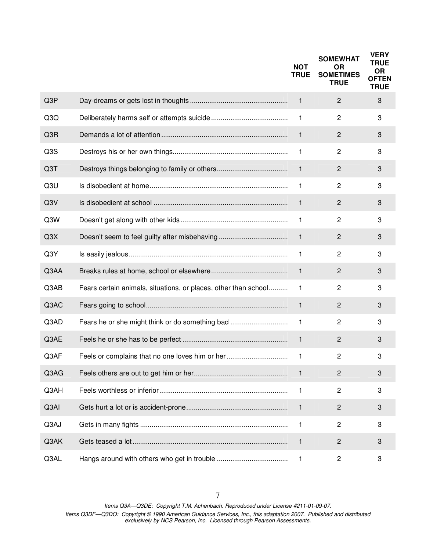|      |                                                                 | <b>NOT</b><br><b>TRUE</b> | <b>SOMEWHAT</b><br><b>OR</b><br><b>SOMETIMES</b><br><b>TRUE</b> | <b>VERY</b><br><b>TRUE</b><br><b>OR</b><br><b>OFTEN</b><br><b>TRUE</b> |
|------|-----------------------------------------------------------------|---------------------------|-----------------------------------------------------------------|------------------------------------------------------------------------|
| Q3P  |                                                                 | $\mathbf{1}$              | $\overline{2}$                                                  | 3                                                                      |
| Q3Q  |                                                                 | 1                         | $\overline{c}$                                                  | 3                                                                      |
| Q3R  |                                                                 | $\mathbf{1}$              | $\overline{2}$                                                  | 3                                                                      |
| Q3S  |                                                                 | 1                         | $\overline{c}$                                                  | 3                                                                      |
| Q3T  |                                                                 | $\mathbf{1}$              | $\overline{c}$                                                  | 3                                                                      |
| Q3U  |                                                                 | $\mathbf{1}$              | $\overline{c}$                                                  | 3                                                                      |
| Q3V  |                                                                 | $\mathbf{1}$              | $\overline{c}$                                                  | 3                                                                      |
| Q3W  |                                                                 | 1                         | $\overline{c}$                                                  | 3                                                                      |
| Q3X  |                                                                 | $\mathbf{1}$              | $\overline{c}$                                                  | 3                                                                      |
| Q3Y  |                                                                 | $\mathbf{1}$              | $\overline{c}$                                                  | 3                                                                      |
| Q3AA |                                                                 | $\mathbf{1}$              | $\overline{c}$                                                  | 3                                                                      |
| Q3AB | Fears certain animals, situations, or places, other than school | $\mathbf{1}$              | $\overline{c}$                                                  | 3                                                                      |
| Q3AC |                                                                 | $\mathbf{1}$              | $\overline{2}$                                                  | 3                                                                      |
| Q3AD | Fears he or she might think or do something bad                 | $\mathbf{1}$              | 2                                                               | 3                                                                      |
| Q3AE |                                                                 | $\mathbf{1}$              | $\overline{2}$                                                  | 3                                                                      |
| Q3AF | Feels or complains that no one loves him or her                 | 1                         | $\overline{c}$                                                  | 3                                                                      |
| Q3AG |                                                                 | $\mathbf{1}$              | $\overline{2}$                                                  | 3                                                                      |
| Q3AH |                                                                 | 1.                        | $\overline{c}$                                                  | 3                                                                      |
| Q3AI |                                                                 | 1                         | $\mathbf{2}$                                                    | 3                                                                      |
| Q3AJ |                                                                 | 1                         | $\overline{2}$                                                  | 3                                                                      |
| Q3AK |                                                                 | $\mathbf{1}$              | $\overline{2}$                                                  | 3                                                                      |
| Q3AL |                                                                 | $\mathbf{1}$              | 2                                                               | 3                                                                      |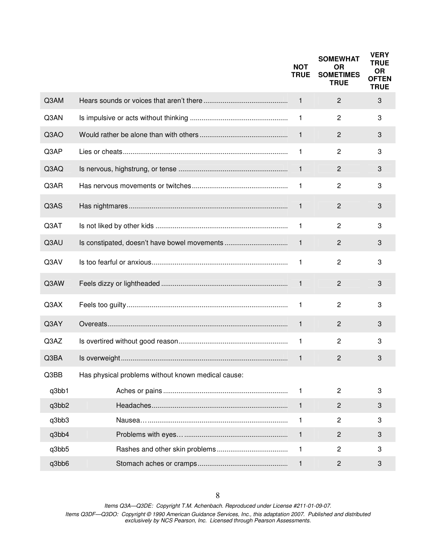|       |                                                    | <b>NOT</b><br><b>TRUE</b> | <b>SOMEWHAT</b><br><b>OR</b><br><b>SOMETIMES</b><br><b>TRUE</b> | <b>VERY</b><br><b>TRUE</b><br><b>OR</b><br><b>OFTEN</b><br><b>TRUE</b> |
|-------|----------------------------------------------------|---------------------------|-----------------------------------------------------------------|------------------------------------------------------------------------|
| Q3AM  |                                                    | $\mathbf{1}$              | $\overline{2}$                                                  | 3                                                                      |
| Q3AN  |                                                    | 1                         | $\overline{c}$                                                  | 3                                                                      |
| Q3AO  |                                                    | $\mathbf{1}$              | $\overline{2}$                                                  | 3                                                                      |
| Q3AP  |                                                    | 1                         | $\overline{c}$                                                  | 3                                                                      |
| Q3AQ  |                                                    | $\mathbf{1}$              | $\mathbf{2}$                                                    | 3                                                                      |
| Q3AR  |                                                    | $\mathbf{1}$              | $\overline{c}$                                                  | 3                                                                      |
| Q3AS  |                                                    | $\mathbf 1$               | $\overline{2}$                                                  | 3                                                                      |
| Q3AT  |                                                    | $\mathbf{1}$              | $\overline{c}$                                                  | 3                                                                      |
| Q3AU  | Is constipated, doesn't have bowel movements       | $\mathbf{1}$              | $\overline{2}$                                                  | 3                                                                      |
| Q3AV  |                                                    | 1                         | $\overline{c}$                                                  | 3                                                                      |
| Q3AW  |                                                    | $\mathbf{1}$              | $\overline{2}$                                                  | 3                                                                      |
| Q3AX  |                                                    | $\mathbf{1}$              | $\overline{c}$                                                  | 3                                                                      |
| Q3AY  |                                                    | $\mathbf{1}$              | $\overline{2}$                                                  | 3                                                                      |
| Q3AZ  |                                                    | $\mathbf{1}$              | $\overline{c}$                                                  | 3                                                                      |
| Q3BA  |                                                    | 1                         | $\overline{2}$                                                  | 3                                                                      |
| Q3BB  | Has physical problems without known medical cause: |                           |                                                                 |                                                                        |
| q3bb1 |                                                    | $\mathbf{1}$              | 2                                                               | 3                                                                      |
| q3bb2 |                                                    | $\mathbf{1}$              | $\mathbf{2}$                                                    | 3                                                                      |
| q3bb3 |                                                    | 1                         | 2                                                               | 3                                                                      |
| q3bb4 |                                                    | $\mathbf{1}$              | $\overline{c}$                                                  | 3                                                                      |
| q3bb5 |                                                    | $\mathbf{1}$              | 2                                                               | 3                                                                      |
| q3bb6 |                                                    | 1                         | $\overline{c}$                                                  | 3                                                                      |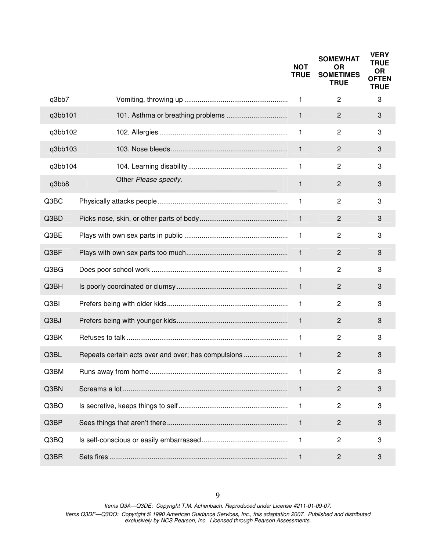|         |                                                     | <b>NOT</b><br><b>TRUE</b> | <b>SOMEWHAT</b><br><b>OR</b><br><b>SOMETIMES</b><br><b>TRUE</b> | <b>VERY</b><br><b>TRUE</b><br><b>OR</b><br><b>OFTEN</b><br><b>TRUE</b> |
|---------|-----------------------------------------------------|---------------------------|-----------------------------------------------------------------|------------------------------------------------------------------------|
| q3bb7   |                                                     | 1                         | $\overline{c}$                                                  | 3                                                                      |
| q3bb101 |                                                     | $\mathbf{1}$              | $\overline{2}$                                                  | $\sqrt{3}$                                                             |
| q3bb102 |                                                     | 1                         | $\overline{c}$                                                  | 3                                                                      |
| q3bb103 |                                                     | $\mathbf{1}$              | $\overline{c}$                                                  | $\sqrt{3}$                                                             |
| q3bb104 |                                                     | 1                         | $\overline{c}$                                                  | 3                                                                      |
| q3bb8   | Other Please specify.                               | $\mathbf{1}$              | $\overline{2}$                                                  | 3                                                                      |
| Q3BC    |                                                     | 1                         | $\overline{c}$                                                  | 3                                                                      |
| Q3BD    |                                                     | $\mathbf{1}$              | $\overline{c}$                                                  | 3                                                                      |
| Q3BE    |                                                     | 1                         | $\overline{c}$                                                  | 3                                                                      |
| Q3BF    |                                                     | $\mathbf{1}$              | $\overline{c}$                                                  | 3                                                                      |
| Q3BG    |                                                     | 1                         | $\overline{c}$                                                  | 3                                                                      |
| Q3BH    |                                                     | $\mathbf{1}$              | $\overline{c}$                                                  | 3                                                                      |
| Q3BI    |                                                     | 1                         | $\overline{c}$                                                  | 3                                                                      |
| Q3BJ    |                                                     | $\mathbf{1}$              | $\overline{2}$                                                  | 3                                                                      |
| Q3BK    |                                                     | 1                         | 2                                                               | 3                                                                      |
| Q3BL    | Repeats certain acts over and over; has compulsions | 1                         | $\overline{2}$                                                  | 3                                                                      |
| Q3BM    |                                                     | 1                         | 2                                                               | 3                                                                      |
| Q3BN    |                                                     | $\mathbf{1}$              | $\overline{2}$                                                  | 3                                                                      |
| Q3BO    |                                                     | $\mathbf{1}$              | $\overline{c}$                                                  | 3                                                                      |
| Q3BP    |                                                     | $\mathbf{1}$              | $\overline{2}$                                                  | 3                                                                      |
| Q3BQ    |                                                     | 1                         | $\overline{c}$                                                  | 3                                                                      |
| Q3BR    |                                                     | 1                         | $\overline{c}$                                                  | 3                                                                      |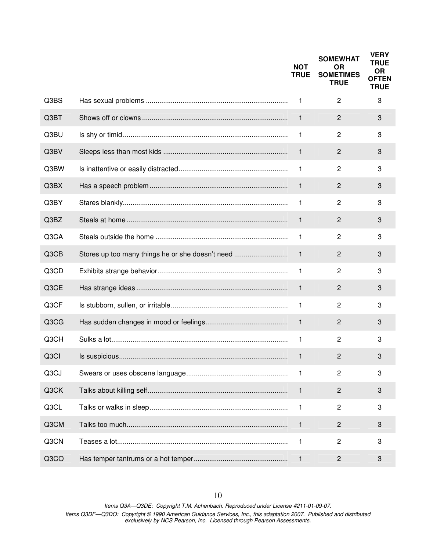|                   |                                                  | <b>NOT</b><br><b>TRUE</b> | <b>SOMEWHAT</b><br><b>OR</b><br><b>SOMETIMES</b><br><b>TRUE</b> | <b>VERY</b><br><b>TRUE</b><br><b>OR</b><br><b>OFTEN</b><br><b>TRUE</b> |
|-------------------|--------------------------------------------------|---------------------------|-----------------------------------------------------------------|------------------------------------------------------------------------|
| Q3BS              |                                                  | $\mathbf{1}$              | 2                                                               | 3                                                                      |
| Q3BT              |                                                  | $\mathbf{1}$              | $\overline{2}$                                                  | 3                                                                      |
| Q3BU              |                                                  | 1                         | $\overline{c}$                                                  | 3                                                                      |
| Q3BV              |                                                  | $\mathbf{1}$              | $\overline{2}$                                                  | 3                                                                      |
| Q3BW              |                                                  | $\mathbf{1}$              | $\overline{c}$                                                  | 3                                                                      |
| Q3BX              |                                                  | $\mathbf 1$               | $\overline{c}$                                                  | 3                                                                      |
| Q3BY              |                                                  | $\mathbf{1}$              | $\mathbf{2}$                                                    | 3                                                                      |
| Q3BZ              |                                                  | $\mathbf 1$               | $\overline{2}$                                                  | 3                                                                      |
| Q3CA              |                                                  | 1                         | $\overline{2}$                                                  | 3                                                                      |
| Q3CB              | Stores up too many things he or she doesn't need | $\mathbf{1}$              | 2                                                               | 3                                                                      |
| Q3CD              |                                                  | $\mathbf{1}$              | $\overline{2}$                                                  | 3                                                                      |
| Q3CE              |                                                  | $\mathbf{1}$              | 2                                                               | 3                                                                      |
| Q3CF              |                                                  | $\mathbf{1}$              | 2                                                               | 3                                                                      |
| Q3CG              |                                                  | $\mathbf{1}$              | $\overline{2}$                                                  | 3                                                                      |
| Q3CH              |                                                  | $\mathbf{1}$              | $\overline{2}$                                                  | 3                                                                      |
| Q <sub>3</sub> Cl |                                                  | 1                         | 2                                                               | 3                                                                      |
| Q3CJ              |                                                  | $\mathbf{1}$              | 2                                                               | 3                                                                      |
| Q3CK              |                                                  | $\mathbf{1}$              | $\mathbf{2}$                                                    | 3                                                                      |
| Q3CL              |                                                  | $\mathbf{1}$              | $\overline{c}$                                                  | 3                                                                      |
| Q3CM              |                                                  | $\mathbf{1}$              | 2                                                               | 3                                                                      |
| Q3CN              |                                                  | $\mathbf{1}$              | $\overline{c}$                                                  | 3                                                                      |
| Q3CO              |                                                  | 1                         | $\overline{c}$                                                  | 3                                                                      |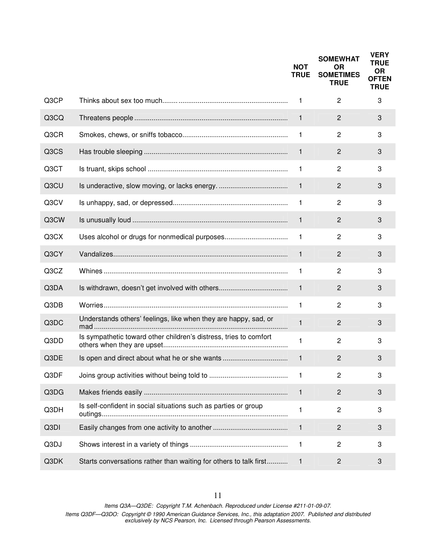|      |                                                                   | <b>NOT</b><br><b>TRUE</b> | <b>SOMEWHAT</b><br><b>OR</b><br><b>SOMETIMES</b><br><b>TRUE</b> | <b>VERY</b><br><b>TRUE</b><br><b>OR</b><br><b>OFTEN</b><br><b>TRUE</b> |
|------|-------------------------------------------------------------------|---------------------------|-----------------------------------------------------------------|------------------------------------------------------------------------|
| Q3CP |                                                                   | 1                         | $\mathbf{2}$                                                    | 3                                                                      |
| Q3CQ |                                                                   | $\mathbf{1}$              | 2                                                               | 3                                                                      |
| Q3CR |                                                                   | 1                         | $\overline{c}$                                                  | 3                                                                      |
| Q3CS |                                                                   | 1                         | 2                                                               | 3                                                                      |
| Q3CT |                                                                   | 1                         | $\overline{c}$                                                  | 3                                                                      |
| Q3CU |                                                                   | $\mathbf{1}$              | $\overline{2}$                                                  | 3                                                                      |
| Q3CV |                                                                   | 1                         | $\overline{c}$                                                  | 3                                                                      |
| Q3CW |                                                                   | $\mathbf{1}$              | $\overline{c}$                                                  | 3                                                                      |
| Q3CX |                                                                   | 1                         | $\overline{c}$                                                  | 3                                                                      |
| Q3CY |                                                                   | $\mathbf{1}$              | $\overline{c}$                                                  | 3                                                                      |
| Q3CZ |                                                                   | 1                         | 2                                                               | 3                                                                      |
| Q3DA | Is withdrawn, doesn't get involved with others                    | $\mathbf{1}$              | $\overline{c}$                                                  | 3                                                                      |
| Q3DB |                                                                   | 1                         | 2                                                               | 3                                                                      |
| Q3DC | Understands others' feelings, like when they are happy, sad, or   | $\mathbf{1}$              | $\overline{2}$                                                  | 3                                                                      |
| Q3DD | Is sympathetic toward other children's distress, tries to comfort | 1                         | $\overline{c}$                                                  | 3                                                                      |
| Q3DE | Is open and direct about what he or she wants                     | 1                         | 2                                                               | 3                                                                      |
| Q3DF |                                                                   | 1                         | 2                                                               | 3                                                                      |
| Q3DG |                                                                   | $\mathbf{1}$              | $\overline{c}$                                                  | 3                                                                      |
| Q3DH | Is self-confident in social situations such as parties or group   | 1                         | 2                                                               | 3                                                                      |
| Q3DI |                                                                   | $\mathbf{1}$              | $\overline{c}$                                                  | 3                                                                      |
| Q3DJ |                                                                   | 1                         | 2                                                               | 3                                                                      |
| Q3DK | Starts conversations rather than waiting for others to talk first | 1                         | $\overline{2}$                                                  | 3                                                                      |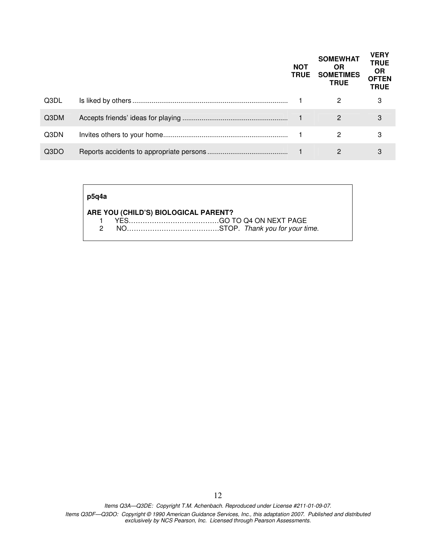|      | <b>NOT</b><br><b>TRUE</b> | <b>SOMEWHAT</b><br><b>OR</b><br><b>SOMETIMES</b><br><b>TRUE</b> | <b>VERY</b><br><b>TRUE</b><br><b>OR</b><br><b>OFTEN</b><br><b>TRUE</b> |
|------|---------------------------|-----------------------------------------------------------------|------------------------------------------------------------------------|
| Q3DL |                           | 2                                                               | 3                                                                      |
| Q3DM |                           | 2                                                               | 3                                                                      |
| Q3DN |                           | 2                                                               | 3                                                                      |
| Q3DO |                           |                                                                 | 3                                                                      |

| p5q4a |                                      |  |  |  |  |  |  |  |  |
|-------|--------------------------------------|--|--|--|--|--|--|--|--|
|       | ARE YOU (CHILD'S) BIOLOGICAL PARENT? |  |  |  |  |  |  |  |  |
|       |                                      |  |  |  |  |  |  |  |  |
|       |                                      |  |  |  |  |  |  |  |  |
|       |                                      |  |  |  |  |  |  |  |  |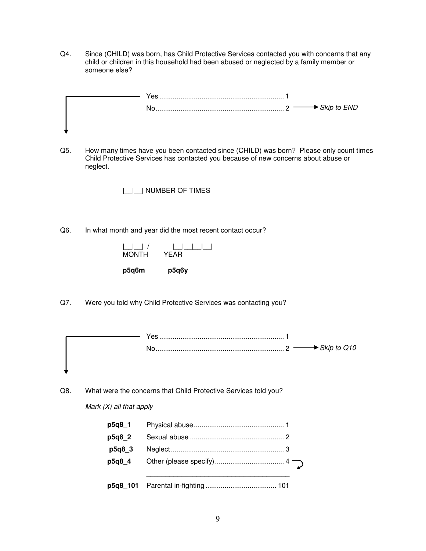Q4. Since (CHILD) was born, has Child Protective Services contacted you with concerns that any child or children in this household had been abused or neglected by a family member or someone else?

| Yes |  |
|-----|--|
|     |  |
|     |  |
|     |  |

Q5. How many times have you been contacted since (CHILD) was born? Please only count times Child Protective Services has contacted you because of new concerns about abuse or neglect.

|\_\_|\_\_| NUMBER OF TIMES

Q6. In what month and year did the most recent contact occur?



Q7. Were you told why Child Protective Services was contacting you?

| Yes |                                          |  |
|-----|------------------------------------------|--|
|     | $\ldots$ 2 $\longrightarrow$ Skip to Q10 |  |
|     |                                          |  |
|     |                                          |  |

Q8. What were the concerns that Child Protective Services told you?

Mark  $(X)$  all that apply

| p5q8_1 |  |
|--------|--|
| p5q8 2 |  |
| p5q8 3 |  |
| p5q8 4 |  |
|        |  |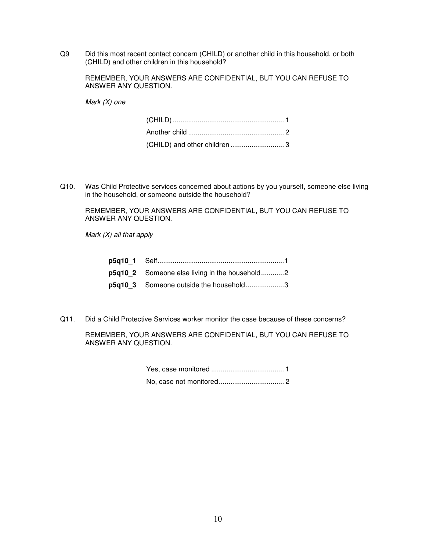Q9 Did this most recent contact concern (CHILD) or another child in this household, or both (CHILD) and other children in this household?

 REMEMBER, YOUR ANSWERS ARE CONFIDENTIAL, BUT YOU CAN REFUSE TO ANSWER ANY QUESTION.

Mark (X) one

| (CHILD) and other children  3 |  |
|-------------------------------|--|

Q10. Was Child Protective services concerned about actions by you yourself, someone else living in the household, or someone outside the household?

 REMEMBER, YOUR ANSWERS ARE CONFIDENTIAL, BUT YOU CAN REFUSE TO ANSWER ANY QUESTION.

Mark  $(X)$  all that apply

| p5q10 2 Someone else living in the household2 |  |
|-----------------------------------------------|--|
| p5q10_3 Someone outside the household3        |  |

Q11. Did a Child Protective Services worker monitor the case because of these concerns?

 REMEMBER, YOUR ANSWERS ARE CONFIDENTIAL, BUT YOU CAN REFUSE TO ANSWER ANY QUESTION.

> Yes, case monitored ...................................... 1 No, case not monitored .................................. 2